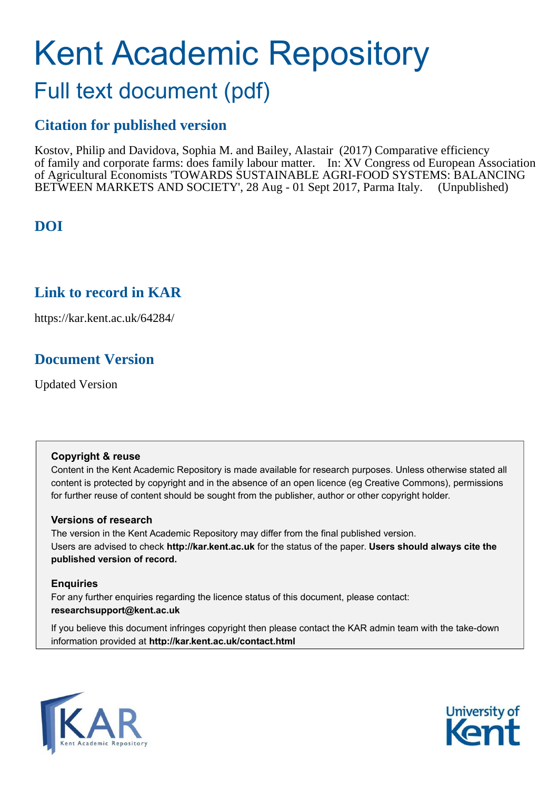# Kent Academic Repository

## Full text document (pdf)

## **Citation for published version**

Kostov, Philip and Davidova, Sophia M. and Bailey, Alastair (2017) Comparative efficiency of family and corporate farms: does family labour matter. In: XV Congress od European Association of Agricultural Economists 'TOWARDS SUSTAINABLE AGRI-FOOD SYSTEMS: BALANCING BETWEEN MARKETS AND SOCIETY', 28 Aug - 01 Sept 2017, Parma Italy. (Unpublished)

## **DOI**

## **Link to record in KAR**

https://kar.kent.ac.uk/64284/

## **Document Version**

Updated Version

#### **Copyright & reuse**

Content in the Kent Academic Repository is made available for research purposes. Unless otherwise stated all content is protected by copyright and in the absence of an open licence (eg Creative Commons), permissions for further reuse of content should be sought from the publisher, author or other copyright holder.

#### **Versions of research**

The version in the Kent Academic Repository may differ from the final published version. Users are advised to check **http://kar.kent.ac.uk** for the status of the paper. **Users should always cite the published version of record.**

#### **Enquiries**

For any further enquiries regarding the licence status of this document, please contact: **researchsupport@kent.ac.uk**

If you believe this document infringes copyright then please contact the KAR admin team with the take-down information provided at **http://kar.kent.ac.uk/contact.html**



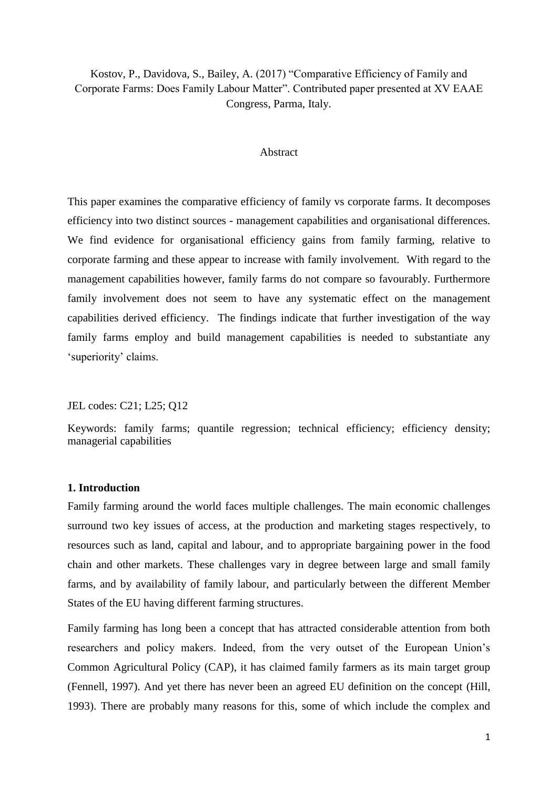#### Kostov, P., Davidova, S., Bailey, A. (2017) "Comparative Efficiency of Family and Corporate Farms: Does Family Labour Matter". Contributed paper presented at XV EAAE Congress, Parma, Italy.

#### **Abstract**

This paper examines the comparative efficiency of family vs corporate farms. It decomposes efficiency into two distinct sources - management capabilities and organisational differences. We find evidence for organisational efficiency gains from family farming, relative to corporate farming and these appear to increase with family involvement. With regard to the management capabilities however, family farms do not compare so favourably. Furthermore family involvement does not seem to have any systematic effect on the management capabilities derived efficiency. The findings indicate that further investigation of the way family farms employ and build management capabilities is needed to substantiate any 'superiority' claims.

JEL codes: C21; L25; Q12

Keywords: family farms; quantile regression; technical efficiency; efficiency density; managerial capabilities

#### **1. Introduction**

Family farming around the world faces multiple challenges. The main economic challenges surround two key issues of access, at the production and marketing stages respectively, to resources such as land, capital and labour, and to appropriate bargaining power in the food chain and other markets. These challenges vary in degree between large and small family farms, and by availability of family labour, and particularly between the different Member States of the EU having different farming structures.

Family farming has long been a concept that has attracted considerable attention from both researchers and policy makers. Indeed, from the very outset of the European Union's Common Agricultural Policy (CAP), it has claimed family farmers as its main target group (Fennell, 1997). And yet there has never been an agreed EU definition on the concept (Hill, 1993). There are probably many reasons for this, some of which include the complex and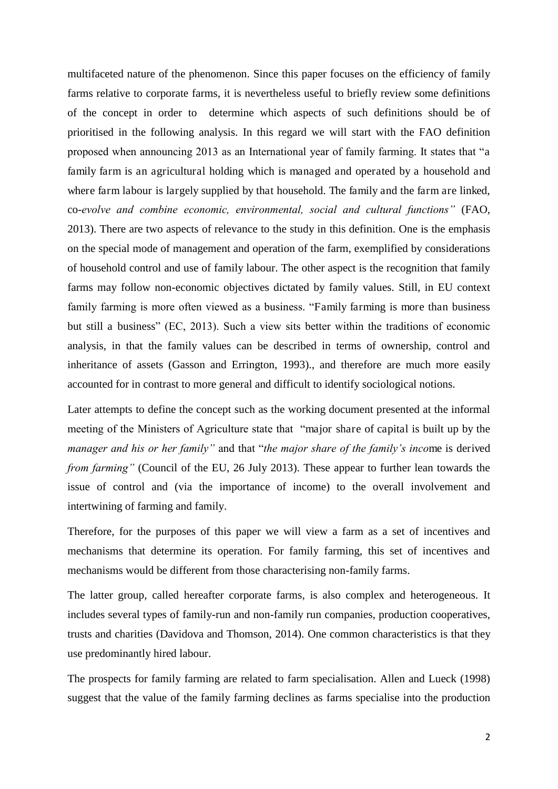multifaceted nature of the phenomenon. Since this paper focuses on the efficiency of family farms relative to corporate farms, it is nevertheless useful to briefly review some definitions of the concept in order to determine which aspects of such definitions should be of prioritised in the following analysis. In this regard we will start with the FAO definition proposed when announcing 2013 as an International year of family farming. It states that "a family farm is an agricultural holding which is managed and operated by a household and where farm labour is largely supplied by that household. The family and the farm are linked, co-*evolve and combine economic, environmental, social and cultural functions"* (FAO, 2013). There are two aspects of relevance to the study in this definition. One is the emphasis on the special mode of management and operation of the farm, exemplified by considerations of household control and use of family labour. The other aspect is the recognition that family farms may follow non-economic objectives dictated by family values. Still, in EU context family farming is more often viewed as a business. "Family farming is more than business but still a business" (EC, 2013). Such a view sits better within the traditions of economic analysis, in that the family values can be described in terms of ownership, control and inheritance of assets (Gasson and Errington, 1993)., and therefore are much more easily accounted for in contrast to more general and difficult to identify sociological notions.

Later attempts to define the concept such as the working document presented at the informal meeting of the Ministers of Agriculture state that "major share of capital is built up by the *manager and his or her family"* and that "*the major share of the family's inco*me is derived *from farming"* (Council of the EU, 26 July 2013). These appear to further lean towards the issue of control and (via the importance of income) to the overall involvement and intertwining of farming and family.

Therefore, for the purposes of this paper we will view a farm as a set of incentives and mechanisms that determine its operation. For family farming, this set of incentives and mechanisms would be different from those characterising non-family farms.

The latter group, called hereafter corporate farms, is also complex and heterogeneous. It includes several types of family-run and non-family run companies, production cooperatives, trusts and charities (Davidova and Thomson, 2014). One common characteristics is that they use predominantly hired labour.

The prospects for family farming are related to farm specialisation. Allen and Lueck (1998) suggest that the value of the family farming declines as farms specialise into the production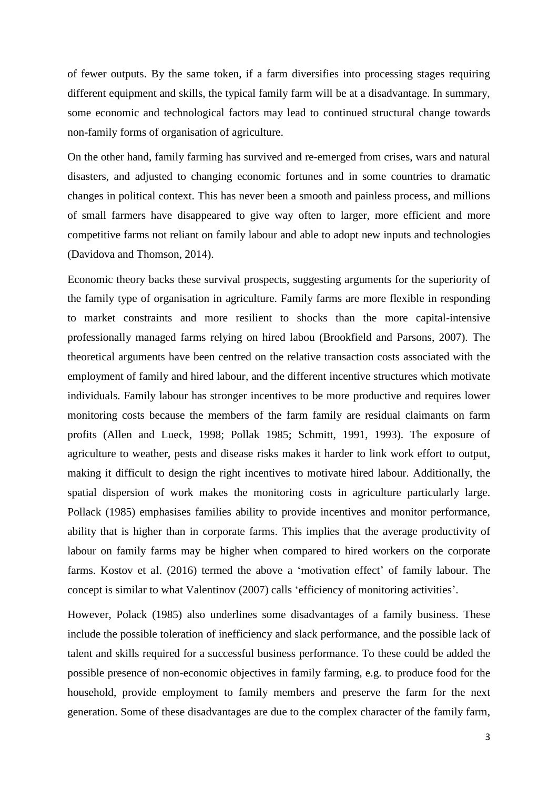of fewer outputs. By the same token, if a farm diversifies into processing stages requiring different equipment and skills, the typical family farm will be at a disadvantage. In summary, some economic and technological factors may lead to continued structural change towards non-family forms of organisation of agriculture.

On the other hand, family farming has survived and re-emerged from crises, wars and natural disasters, and adjusted to changing economic fortunes and in some countries to dramatic changes in political context. This has never been a smooth and painless process, and millions of small farmers have disappeared to give way often to larger, more efficient and more competitive farms not reliant on family labour and able to adopt new inputs and technologies (Davidova and Thomson, 2014).

Economic theory backs these survival prospects, suggesting arguments for the superiority of the family type of organisation in agriculture. Family farms are more flexible in responding to market constraints and more resilient to shocks than the more capital-intensive professionally managed farms relying on hired labou (Brookfield and Parsons, 2007). The theoretical arguments have been centred on the relative transaction costs associated with the employment of family and hired labour, and the different incentive structures which motivate individuals. Family labour has stronger incentives to be more productive and requires lower monitoring costs because the members of the farm family are residual claimants on farm profits (Allen and Lueck, 1998; Pollak 1985; Schmitt, 1991, 1993). The exposure of agriculture to weather, pests and disease risks makes it harder to link work effort to output, making it difficult to design the right incentives to motivate hired labour. Additionally, the spatial dispersion of work makes the monitoring costs in agriculture particularly large. Pollack (1985) emphasises families ability to provide incentives and monitor performance, ability that is higher than in corporate farms. This implies that the average productivity of labour on family farms may be higher when compared to hired workers on the corporate farms. Kostov et al. (2016) termed the above a 'motivation effect' of family labour. The concept is similar to what Valentinov (2007) calls 'efficiency of monitoring activities'.

However, Polack (1985) also underlines some disadvantages of a family business. These include the possible toleration of inefficiency and slack performance, and the possible lack of talent and skills required for a successful business performance. To these could be added the possible presence of non-economic objectives in family farming, e.g. to produce food for the household, provide employment to family members and preserve the farm for the next generation. Some of these disadvantages are due to the complex character of the family farm,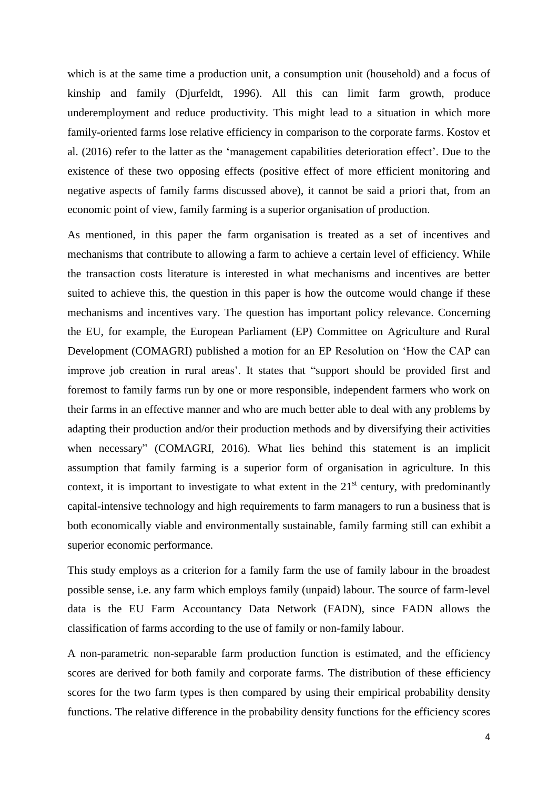which is at the same time a production unit, a consumption unit (household) and a focus of kinship and family (Djurfeldt, 1996). All this can limit farm growth, produce underemployment and reduce productivity. This might lead to a situation in which more family-oriented farms lose relative efficiency in comparison to the corporate farms. Kostov et al. (2016) refer to the latter as the 'management capabilities deterioration effect'. Due to the existence of these two opposing effects (positive effect of more efficient monitoring and negative aspects of family farms discussed above), it cannot be said a priori that, from an economic point of view, family farming is a superior organisation of production.

As mentioned, in this paper the farm organisation is treated as a set of incentives and mechanisms that contribute to allowing a farm to achieve a certain level of efficiency. While the transaction costs literature is interested in what mechanisms and incentives are better suited to achieve this, the question in this paper is how the outcome would change if these mechanisms and incentives vary. The question has important policy relevance. Concerning the EU, for example, the European Parliament (EP) Committee on Agriculture and Rural Development (COMAGRI) published a motion for an EP Resolution on 'How the CAP can improve job creation in rural areas'. It states that "support should be provided first and foremost to family farms run by one or more responsible, independent farmers who work on their farms in an effective manner and who are much better able to deal with any problems by adapting their production and/or their production methods and by diversifying their activities when necessary" (COMAGRI, 2016). What lies behind this statement is an implicit assumption that family farming is a superior form of organisation in agriculture. In this context, it is important to investigate to what extent in the  $21<sup>st</sup>$  century, with predominantly capital-intensive technology and high requirements to farm managers to run a business that is both economically viable and environmentally sustainable, family farming still can exhibit a superior economic performance.

This study employs as a criterion for a family farm the use of family labour in the broadest possible sense, i.e. any farm which employs family (unpaid) labour. The source of farm-level data is the EU Farm Accountancy Data Network (FADN), since FADN allows the classification of farms according to the use of family or non-family labour.

A non-parametric non-separable farm production function is estimated, and the efficiency scores are derived for both family and corporate farms. The distribution of these efficiency scores for the two farm types is then compared by using their empirical probability density functions. The relative difference in the probability density functions for the efficiency scores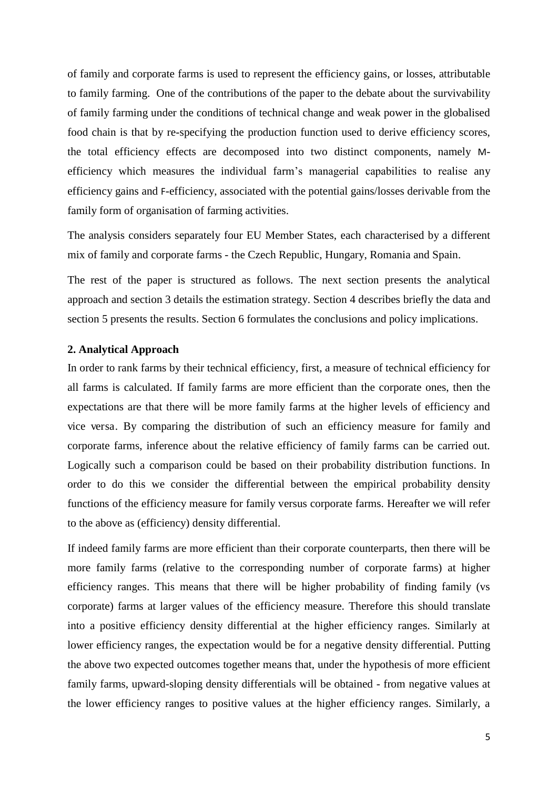of family and corporate farms is used to represent the efficiency gains, or losses, attributable to family farming. One of the contributions of the paper to the debate about the survivability of family farming under the conditions of technical change and weak power in the globalised food chain is that by re-specifying the production function used to derive efficiency scores, the total efficiency effects are decomposed into two distinct components, namely Mefficiency which measures the individual farm's managerial capabilities to realise any efficiency gains and F-efficiency, associated with the potential gains/losses derivable from the family form of organisation of farming activities.

The analysis considers separately four EU Member States, each characterised by a different mix of family and corporate farms - the Czech Republic, Hungary, Romania and Spain.

The rest of the paper is structured as follows. The next section presents the analytical approach and section 3 details the estimation strategy. Section 4 describes briefly the data and section 5 presents the results. Section 6 formulates the conclusions and policy implications.

#### **2. Analytical Approach**

In order to rank farms by their technical efficiency, first, a measure of technical efficiency for all farms is calculated. If family farms are more efficient than the corporate ones, then the expectations are that there will be more family farms at the higher levels of efficiency and vice versa. By comparing the distribution of such an efficiency measure for family and corporate farms, inference about the relative efficiency of family farms can be carried out. Logically such a comparison could be based on their probability distribution functions. In order to do this we consider the differential between the empirical probability density functions of the efficiency measure for family versus corporate farms. Hereafter we will refer to the above as (efficiency) density differential.

If indeed family farms are more efficient than their corporate counterparts, then there will be more family farms (relative to the corresponding number of corporate farms) at higher efficiency ranges. This means that there will be higher probability of finding family (vs corporate) farms at larger values of the efficiency measure. Therefore this should translate into a positive efficiency density differential at the higher efficiency ranges. Similarly at lower efficiency ranges, the expectation would be for a negative density differential. Putting the above two expected outcomes together means that, under the hypothesis of more efficient family farms, upward-sloping density differentials will be obtained - from negative values at the lower efficiency ranges to positive values at the higher efficiency ranges. Similarly, a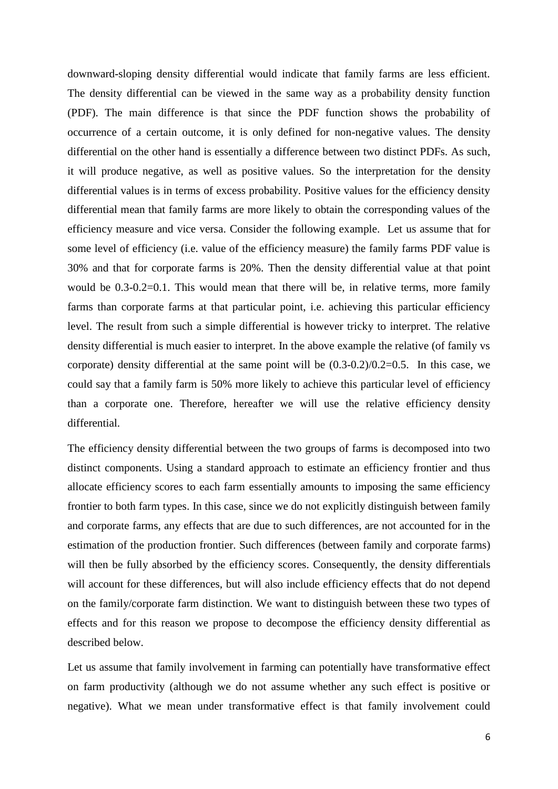downward-sloping density differential would indicate that family farms are less efficient. The density differential can be viewed in the same way as a probability density function (PDF). The main difference is that since the PDF function shows the probability of occurrence of a certain outcome, it is only defined for non-negative values. The density differential on the other hand is essentially a difference between two distinct PDFs. As such, it will produce negative, as well as positive values. So the interpretation for the density differential values is in terms of excess probability. Positive values for the efficiency density differential mean that family farms are more likely to obtain the corresponding values of the efficiency measure and vice versa. Consider the following example. Let us assume that for some level of efficiency (i.e. value of the efficiency measure) the family farms PDF value is 30% and that for corporate farms is 20%. Then the density differential value at that point would be 0.3-0.2=0.1. This would mean that there will be, in relative terms, more family farms than corporate farms at that particular point, i.e. achieving this particular efficiency level. The result from such a simple differential is however tricky to interpret. The relative density differential is much easier to interpret. In the above example the relative (of family vs corporate) density differential at the same point will be (0.3-0.2)/0.2=0.5. In this case, we could say that a family farm is 50% more likely to achieve this particular level of efficiency than a corporate one. Therefore, hereafter we will use the relative efficiency density differential.

The efficiency density differential between the two groups of farms is decomposed into two distinct components. Using a standard approach to estimate an efficiency frontier and thus allocate efficiency scores to each farm essentially amounts to imposing the same efficiency frontier to both farm types. In this case, since we do not explicitly distinguish between family and corporate farms, any effects that are due to such differences, are not accounted for in the estimation of the production frontier. Such differences (between family and corporate farms) will then be fully absorbed by the efficiency scores. Consequently, the density differentials will account for these differences, but will also include efficiency effects that do not depend on the family/corporate farm distinction. We want to distinguish between these two types of effects and for this reason we propose to decompose the efficiency density differential as described below.

Let us assume that family involvement in farming can potentially have transformative effect on farm productivity (although we do not assume whether any such effect is positive or negative). What we mean under transformative effect is that family involvement could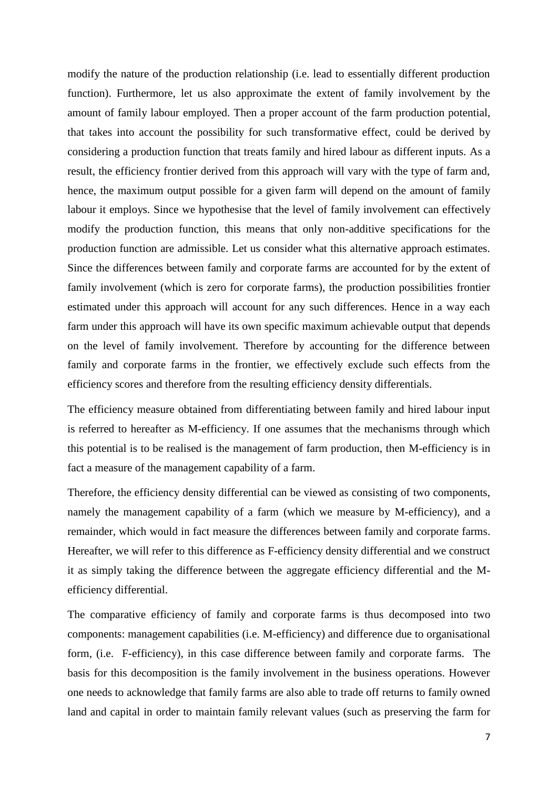modify the nature of the production relationship (i.e. lead to essentially different production function). Furthermore, let us also approximate the extent of family involvement by the amount of family labour employed. Then a proper account of the farm production potential, that takes into account the possibility for such transformative effect, could be derived by considering a production function that treats family and hired labour as different inputs. As a result, the efficiency frontier derived from this approach will vary with the type of farm and, hence, the maximum output possible for a given farm will depend on the amount of family labour it employs. Since we hypothesise that the level of family involvement can effectively modify the production function, this means that only non-additive specifications for the production function are admissible. Let us consider what this alternative approach estimates. Since the differences between family and corporate farms are accounted for by the extent of family involvement (which is zero for corporate farms), the production possibilities frontier estimated under this approach will account for any such differences. Hence in a way each farm under this approach will have its own specific maximum achievable output that depends on the level of family involvement. Therefore by accounting for the difference between family and corporate farms in the frontier, we effectively exclude such effects from the efficiency scores and therefore from the resulting efficiency density differentials.

The efficiency measure obtained from differentiating between family and hired labour input is referred to hereafter as M-efficiency. If one assumes that the mechanisms through which this potential is to be realised is the management of farm production, then M-efficiency is in fact a measure of the management capability of a farm.

Therefore, the efficiency density differential can be viewed as consisting of two components, namely the management capability of a farm (which we measure by M-efficiency), and a remainder, which would in fact measure the differences between family and corporate farms. Hereafter, we will refer to this difference as F-efficiency density differential and we construct it as simply taking the difference between the aggregate efficiency differential and the Mefficiency differential.

The comparative efficiency of family and corporate farms is thus decomposed into two components: management capabilities (i.e. M-efficiency) and difference due to organisational form, (i.e. F-efficiency), in this case difference between family and corporate farms. The basis for this decomposition is the family involvement in the business operations. However one needs to acknowledge that family farms are also able to trade off returns to family owned land and capital in order to maintain family relevant values (such as preserving the farm for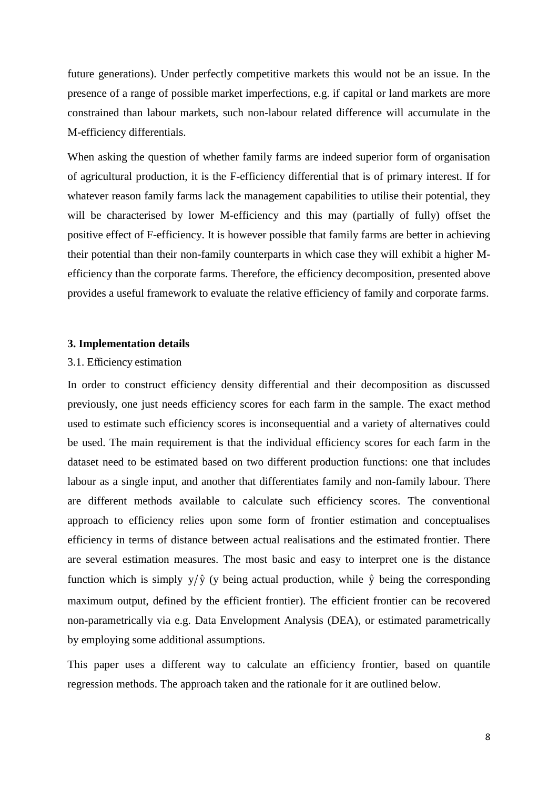future generations). Under perfectly competitive markets this would not be an issue. In the presence of a range of possible market imperfections, e.g. if capital or land markets are more constrained than labour markets, such non-labour related difference will accumulate in the M-efficiency differentials.

When asking the question of whether family farms are indeed superior form of organisation of agricultural production, it is the F-efficiency differential that is of primary interest. If for whatever reason family farms lack the management capabilities to utilise their potential, they will be characterised by lower M-efficiency and this may (partially of fully) offset the positive effect of F-efficiency. It is however possible that family farms are better in achieving their potential than their non-family counterparts in which case they will exhibit a higher Mefficiency than the corporate farms. Therefore, the efficiency decomposition, presented above provides a useful framework to evaluate the relative efficiency of family and corporate farms.

#### **3. Implementation details**

#### 3.1. Efficiency estimation

In order to construct efficiency density differential and their decomposition as discussed previously, one just needs efficiency scores for each farm in the sample. The exact method used to estimate such efficiency scores is inconsequential and a variety of alternatives could be used. The main requirement is that the individual efficiency scores for each farm in the dataset need to be estimated based on two different production functions: one that includes labour as a single input, and another that differentiates family and non-family labour. There are different methods available to calculate such efficiency scores. The conventional approach to efficiency relies upon some form of frontier estimation and conceptualises efficiency in terms of distance between actual realisations and the estimated frontier. There are several estimation measures. The most basic and easy to interpret one is the distance function which is simply  $y/\hat{y}$  (y being actual production, while  $\hat{y}$  being the corresponding maximum output, defined by the efficient frontier). The efficient frontier can be recovered non-parametrically via e.g. Data Envelopment Analysis (DEA), or estimated parametrically by employing some additional assumptions.

This paper uses a different way to calculate an efficiency frontier, based on quantile regression methods. The approach taken and the rationale for it are outlined below.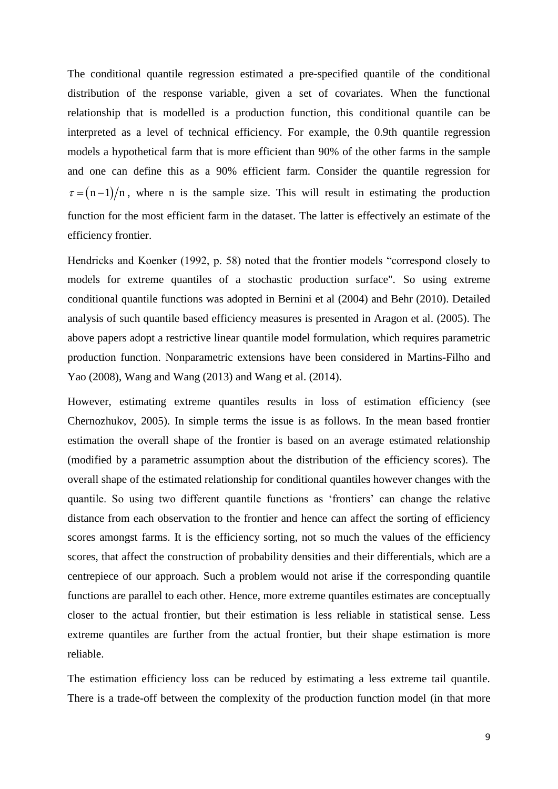The conditional quantile regression estimated a pre-specified quantile of the conditional distribution of the response variable, given a set of covariates. When the functional relationship that is modelled is a production function, this conditional quantile can be interpreted as a level of technical efficiency. For example, the 0.9th quantile regression models a hypothetical farm that is more efficient than 90% of the other farms in the sample and one can define this as a 90% efficient farm. Consider the quantile regression for  $\tau = (n - 1)/n$ , where n is the sample size. This will result in estimating the production function for the most efficient farm in the dataset. The latter is effectively an estimate of the efficiency frontier.

Hendricks and Koenker (1992, p. 58) noted that the frontier models "correspond closely to models for extreme quantiles of a stochastic production surface". So using extreme conditional quantile functions was adopted in Bernini et al (2004) and Behr (2010). Detailed analysis of such quantile based efficiency measures is presented in Aragon et al. (2005). The above papers adopt a restrictive linear quantile model formulation, which requires parametric production function. Nonparametric extensions have been considered in Martins-Filho and Yao (2008), Wang and Wang (2013) and Wang et al. (2014).

However, estimating extreme quantiles results in loss of estimation efficiency (see Chernozhukov, 2005). In simple terms the issue is as follows. In the mean based frontier estimation the overall shape of the frontier is based on an average estimated relationship (modified by a parametric assumption about the distribution of the efficiency scores). The overall shape of the estimated relationship for conditional quantiles however changes with the quantile. So using two different quantile functions as 'frontiers' can change the relative distance from each observation to the frontier and hence can affect the sorting of efficiency scores amongst farms. It is the efficiency sorting, not so much the values of the efficiency scores, that affect the construction of probability densities and their differentials, which are a centrepiece of our approach. Such a problem would not arise if the corresponding quantile functions are parallel to each other. Hence, more extreme quantiles estimates are conceptually closer to the actual frontier, but their estimation is less reliable in statistical sense. Less extreme quantiles are further from the actual frontier, but their shape estimation is more reliable.

The estimation efficiency loss can be reduced by estimating a less extreme tail quantile. There is a trade-off between the complexity of the production function model (in that more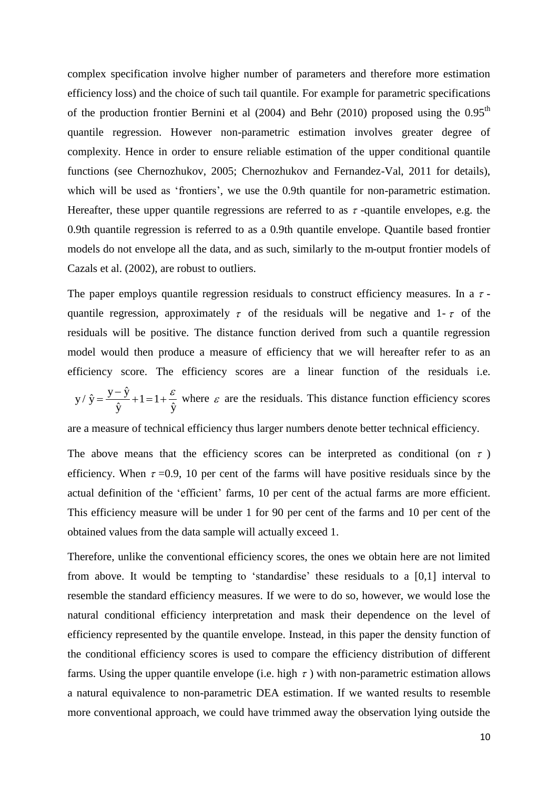complex specification involve higher number of parameters and therefore more estimation efficiency loss) and the choice of such tail quantile. For example for parametric specifications of the production frontier Bernini et al  $(2004)$  and Behr  $(2010)$  proposed using the  $0.95<sup>th</sup>$ quantile regression. However non-parametric estimation involves greater degree of complexity. Hence in order to ensure reliable estimation of the upper conditional quantile functions (see Chernozhukov, 2005; Chernozhukov and Fernandez-Val, 2011 for details), which will be used as 'frontiers', we use the 0.9th quantile for non-parametric estimation. Hereafter, these upper quantile regressions are referred to as  $\tau$ -quantile envelopes, e.g. the 0.9th quantile regression is referred to as a 0.9th quantile envelope. Quantile based frontier models do not envelope all the data, and as such, similarly to the m-output frontier models of Cazals et al. (2002), are robust to outliers.

The paper employs quantile regression residuals to construct efficiency measures. In a  $\tau$ quantile regression, approximately  $\tau$  of the residuals will be negative and 1- $\tau$  of the residuals will be positive. The distance function derived from such a quantile regression model would then produce a measure of efficiency that we will hereafter refer to as an efficiency score. The efficiency scores are a linear function of the residuals i.e.

 $y/\hat{y} = \frac{y - \hat{y}}{2} + 1 = 1$  $\hat{y}$   $\hat{y}$  $y / \hat{y} = \frac{y - \hat{y}}{2}$  $\hat{y}$   $\hat{y}$  $=\frac{y-\hat{y}}{2}+1=1+\frac{\varepsilon}{2}$  where  $\varepsilon$  are the residuals. This distance function efficiency scores

are a measure of technical efficiency thus larger numbers denote better technical efficiency.

The above means that the efficiency scores can be interpreted as conditional (on  $\tau$ ) efficiency. When  $\tau = 0.9$ , 10 per cent of the farms will have positive residuals since by the actual definition of the 'efficient' farms, 10 per cent of the actual farms are more efficient. This efficiency measure will be under 1 for 90 per cent of the farms and 10 per cent of the obtained values from the data sample will actually exceed 1.

Therefore, unlike the conventional efficiency scores, the ones we obtain here are not limited from above. It would be tempting to 'standardise' these residuals to a [0,1] interval to resemble the standard efficiency measures. If we were to do so, however, we would lose the natural conditional efficiency interpretation and mask their dependence on the level of efficiency represented by the quantile envelope. Instead, in this paper the density function of the conditional efficiency scores is used to compare the efficiency distribution of different farms. Using the upper quantile envelope (i.e. high  $\tau$ ) with non-parametric estimation allows a natural equivalence to non-parametric DEA estimation. If we wanted results to resemble more conventional approach, we could have trimmed away the observation lying outside the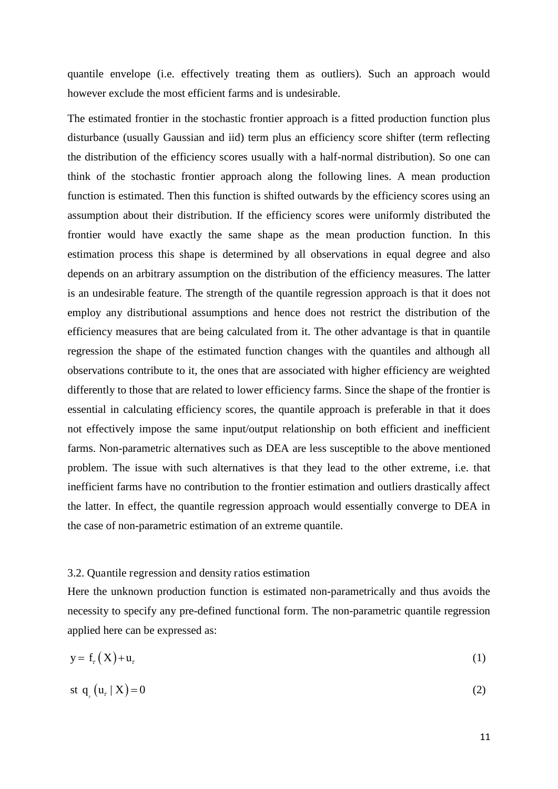quantile envelope (i.e. effectively treating them as outliers). Such an approach would however exclude the most efficient farms and is undesirable.

The estimated frontier in the stochastic frontier approach is a fitted production function plus disturbance (usually Gaussian and iid) term plus an efficiency score shifter (term reflecting the distribution of the efficiency scores usually with a half-normal distribution). So one can think of the stochastic frontier approach along the following lines. A mean production function is estimated. Then this function is shifted outwards by the efficiency scores using an assumption about their distribution. If the efficiency scores were uniformly distributed the frontier would have exactly the same shape as the mean production function. In this estimation process this shape is determined by all observations in equal degree and also depends on an arbitrary assumption on the distribution of the efficiency measures. The latter is an undesirable feature. The strength of the quantile regression approach is that it does not employ any distributional assumptions and hence does not restrict the distribution of the efficiency measures that are being calculated from it. The other advantage is that in quantile regression the shape of the estimated function changes with the quantiles and although all observations contribute to it, the ones that are associated with higher efficiency are weighted differently to those that are related to lower efficiency farms. Since the shape of the frontier is essential in calculating efficiency scores, the quantile approach is preferable in that it does not effectively impose the same input/output relationship on both efficient and inefficient farms. Non-parametric alternatives such as DEA are less susceptible to the above mentioned problem. The issue with such alternatives is that they lead to the other extreme, i.e. that inefficient farms have no contribution to the frontier estimation and outliers drastically affect the latter. In effect, the quantile regression approach would essentially converge to DEA in the case of non-parametric estimation of an extreme quantile.

#### 3.2. Quantile regression and density ratios estimation

Here the unknown production function is estimated non-parametrically and thus avoids the necessity to specify any pre-defined functional form. The non-parametric quantile regression applied here can be expressed as:

$$
y = fr(X) + ur
$$
 (1)

$$
st q_{r}(u_{r} | X) = 0
$$
\n<sup>(2)</sup>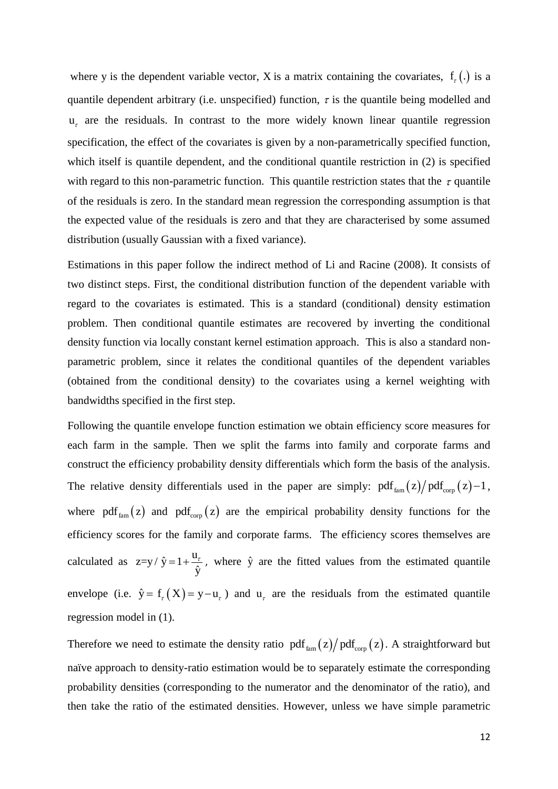where y is the dependent variable vector, X is a matrix containing the covariates,  $f_{\tau}$  (.) is a quantile dependent arbitrary (i.e. unspecified) function,  $\tau$  is the quantile being modelled and  $u<sub>r</sub>$  are the residuals. In contrast to the more widely known linear quantile regression specification, the effect of the covariates is given by a non-parametrically specified function, which itself is quantile dependent, and the conditional quantile restriction in (2) is specified with regard to this non-parametric function. This quantile restriction states that the  $\tau$  quantile of the residuals is zero. In the standard mean regression the corresponding assumption is that the expected value of the residuals is zero and that they are characterised by some assumed distribution (usually Gaussian with a fixed variance).

Estimations in this paper follow the indirect method of Li and Racine (2008). It consists of two distinct steps. First, the conditional distribution function of the dependent variable with regard to the covariates is estimated. This is a standard (conditional) density estimation problem. Then conditional quantile estimates are recovered by inverting the conditional density function via locally constant kernel estimation approach. This is also a standard nonparametric problem, since it relates the conditional quantiles of the dependent variables (obtained from the conditional density) to the covariates using a kernel weighting with bandwidths specified in the first step.

Following the quantile envelope function estimation we obtain efficiency score measures for each farm in the sample. Then we split the farms into family and corporate farms and construct the efficiency probability density differentials which form the basis of the analysis. The relative density differentials used in the paper are simply:  $pdf_{\text{fam}}(z)/pdf_{\text{cor}}(z)-1$ , where pdf<sub>fam</sub> (z) and pdf<sub>corp</sub> (z) are the empirical probability density functions for the efficiency scores for the family and corporate farms. The efficiency scores themselves are calculated as  $z=y/\hat{y}$ ˆ  $y / \hat{y} = 1 + \frac{u}{a}$ y  $=1+\frac{a_r}{\lambda}$ , where  $\hat{y}$  are the fitted values from the estimated quantile envelope (i.e.  $\hat{y} = f_{\tau}(X) = y - u_{\tau}$ ) and  $u_{\tau}$  are the residuals from the estimated quantile regression model in (1).

Therefore we need to estimate the density ratio  $pdf_{fan}(z)/pdf_{corp}(z)$ . A straightforward but naïve approach to density-ratio estimation would be to separately estimate the corresponding probability densities (corresponding to the numerator and the denominator of the ratio), and then take the ratio of the estimated densities. However, unless we have simple parametric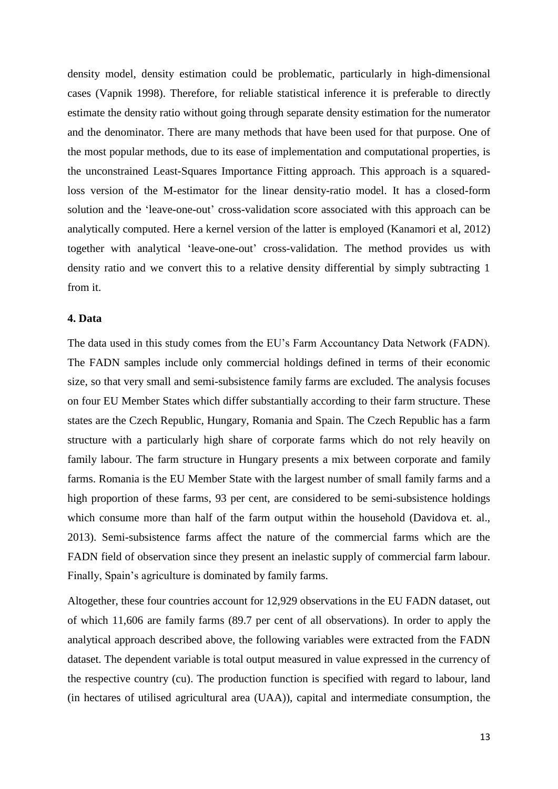density model, density estimation could be problematic, particularly in high-dimensional cases (Vapnik 1998). Therefore, for reliable statistical inference it is preferable to directly estimate the density ratio without going through separate density estimation for the numerator and the denominator. There are many methods that have been used for that purpose. One of the most popular methods, due to its ease of implementation and computational properties, is the unconstrained Least-Squares Importance Fitting approach. This approach is a squaredloss version of the M-estimator for the linear density-ratio model. It has a closed-form solution and the 'leave-one-out' cross-validation score associated with this approach can be analytically computed. Here a kernel version of the latter is employed (Kanamori et al, 2012) together with analytical 'leave-one-out' cross-validation. The method provides us with density ratio and we convert this to a relative density differential by simply subtracting 1 from it.

#### **4. Data**

The data used in this study comes from the EU's Farm Accountancy Data Network (FADN). The FADN samples include only commercial holdings defined in terms of their economic size, so that very small and semi-subsistence family farms are excluded. The analysis focuses on four EU Member States which differ substantially according to their farm structure. These states are the Czech Republic, Hungary, Romania and Spain. The Czech Republic has a farm structure with a particularly high share of corporate farms which do not rely heavily on family labour. The farm structure in Hungary presents a mix between corporate and family farms. Romania is the EU Member State with the largest number of small family farms and a high proportion of these farms, 93 per cent, are considered to be semi-subsistence holdings which consume more than half of the farm output within the household (Davidova et. al., 2013). Semi-subsistence farms affect the nature of the commercial farms which are the FADN field of observation since they present an inelastic supply of commercial farm labour. Finally, Spain's agriculture is dominated by family farms.

Altogether, these four countries account for 12,929 observations in the EU FADN dataset, out of which 11,606 are family farms (89.7 per cent of all observations). In order to apply the analytical approach described above, the following variables were extracted from the FADN dataset. The dependent variable is total output measured in value expressed in the currency of the respective country (cu). The production function is specified with regard to labour, land (in hectares of utilised agricultural area (UAA)), capital and intermediate consumption, the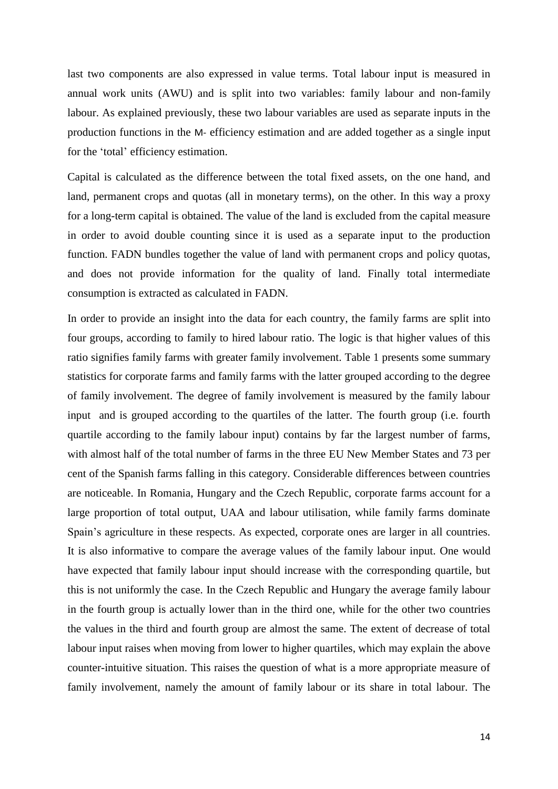last two components are also expressed in value terms. Total labour input is measured in annual work units (AWU) and is split into two variables: family labour and non-family labour. As explained previously, these two labour variables are used as separate inputs in the production functions in the M- efficiency estimation and are added together as a single input for the 'total' efficiency estimation.

Capital is calculated as the difference between the total fixed assets, on the one hand, and land, permanent crops and quotas (all in monetary terms), on the other. In this way a proxy for a long-term capital is obtained. The value of the land is excluded from the capital measure in order to avoid double counting since it is used as a separate input to the production function. FADN bundles together the value of land with permanent crops and policy quotas, and does not provide information for the quality of land. Finally total intermediate consumption is extracted as calculated in FADN.

In order to provide an insight into the data for each country, the family farms are split into four groups, according to family to hired labour ratio. The logic is that higher values of this ratio signifies family farms with greater family involvement. Table 1 presents some summary statistics for corporate farms and family farms with the latter grouped according to the degree of family involvement. The degree of family involvement is measured by the family labour input and is grouped according to the quartiles of the latter. The fourth group (i.e. fourth quartile according to the family labour input) contains by far the largest number of farms, with almost half of the total number of farms in the three EU New Member States and 73 per cent of the Spanish farms falling in this category. Considerable differences between countries are noticeable. In Romania, Hungary and the Czech Republic, corporate farms account for a large proportion of total output, UAA and labour utilisation, while family farms dominate Spain's agriculture in these respects. As expected, corporate ones are larger in all countries. It is also informative to compare the average values of the family labour input. One would have expected that family labour input should increase with the corresponding quartile, but this is not uniformly the case. In the Czech Republic and Hungary the average family labour in the fourth group is actually lower than in the third one, while for the other two countries the values in the third and fourth group are almost the same. The extent of decrease of total labour input raises when moving from lower to higher quartiles, which may explain the above counter-intuitive situation. This raises the question of what is a more appropriate measure of family involvement, namely the amount of family labour or its share in total labour. The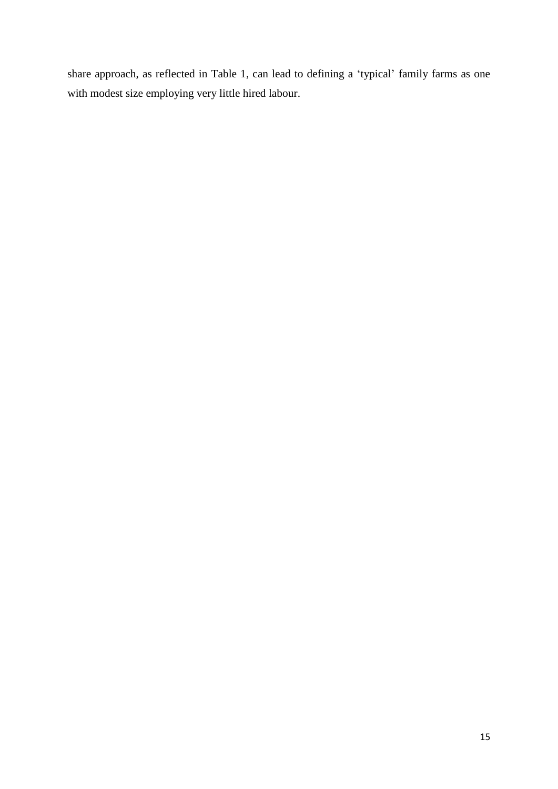share approach, as reflected in Table 1, can lead to defining a 'typical' family farms as one with modest size employing very little hired labour.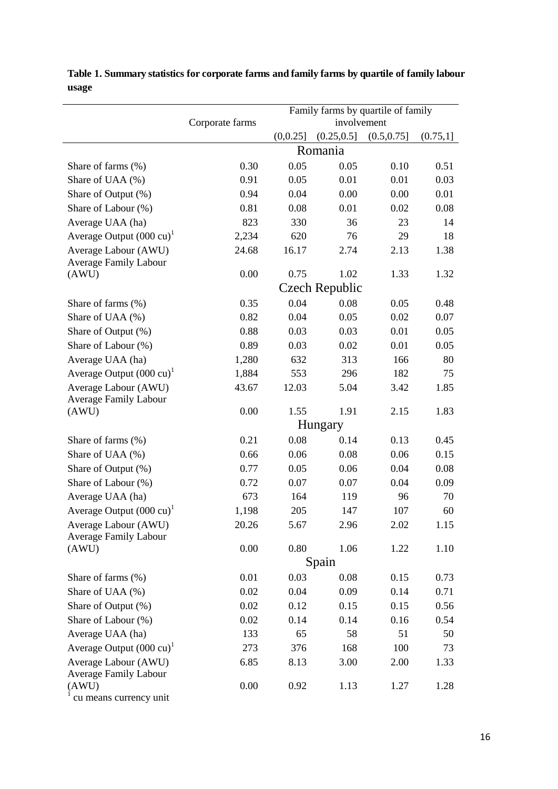|                                                         | Corporate farms       |              | Family farms by quartile of family<br>involvement |              |          |  |
|---------------------------------------------------------|-----------------------|--------------|---------------------------------------------------|--------------|----------|--|
|                                                         |                       | (0,0.25]     | (0.25, 0.5]                                       | (0.5, 0.75]  | (0.75,1] |  |
|                                                         | Romania               |              |                                                   |              |          |  |
| Share of farms $(\%)$                                   | 0.30                  | 0.05         | 0.05                                              | 0.10         | 0.51     |  |
| Share of UAA (%)                                        | 0.91                  | 0.05         | 0.01                                              | 0.01         | 0.03     |  |
| Share of Output (%)                                     | 0.94                  | 0.04         | 0.00                                              | 0.00         | 0.01     |  |
| Share of Labour (%)                                     | 0.81                  | 0.08         | 0.01                                              | 0.02         | 0.08     |  |
| Average UAA (ha)                                        | 823                   | 330          | 36                                                | 23           | 14       |  |
| Average Output $(000 \text{ cu})^1$                     | 2,234                 | 620          | 76                                                | 29           | 18       |  |
| Average Labour (AWU)                                    | 24.68                 | 16.17        | 2.74                                              | 2.13         | 1.38     |  |
| <b>Average Family Labour</b>                            |                       |              |                                                   |              |          |  |
| (AWU)                                                   | 0.00                  | 0.75         | 1.02                                              | 1.33         | 1.32     |  |
|                                                         | <b>Czech Republic</b> |              |                                                   |              |          |  |
| Share of farms (%)                                      | 0.35                  | 0.04         | 0.08                                              | 0.05         | 0.48     |  |
| Share of UAA (%)                                        | 0.82                  | 0.04         | 0.05                                              | 0.02         | 0.07     |  |
| Share of Output (%)                                     | 0.88                  | 0.03         | 0.03                                              | 0.01         | 0.05     |  |
| Share of Labour (%)                                     | 0.89                  | 0.03         | 0.02                                              | 0.01         | 0.05     |  |
| Average UAA (ha)                                        | 1,280                 | 632          | 313                                               | 166          | 80       |  |
| Average Output $(000 \text{ cu})^1$                     | 1,884                 | 553          | 296                                               | 182          | 75       |  |
| Average Labour (AWU)                                    | 43.67                 | 12.03        | 5.04                                              | 3.42         | 1.85     |  |
| <b>Average Family Labour</b>                            |                       |              |                                                   |              |          |  |
| (AWU)                                                   | 0.00                  | 1.55         | 1.91                                              | 2.15         | 1.83     |  |
|                                                         | Hungary               |              |                                                   |              |          |  |
| Share of farms $(\%)$                                   | 0.21                  | 0.08         | 0.14                                              | 0.13         | 0.45     |  |
| Share of UAA (%)                                        | 0.66                  | 0.06         | 0.08                                              | 0.06         | 0.15     |  |
| Share of Output (%)                                     | 0.77                  | 0.05         | 0.06                                              | 0.04         | 0.08     |  |
| Share of Labour (%)                                     | 0.72                  | 0.07         | 0.07                                              | 0.04         | 0.09     |  |
| Average UAA (ha)                                        | 673                   | 164          | 119                                               | 96           | 70       |  |
| Average Output $(000 \text{ cu})^1$                     | 1,198                 | 205          | 147                                               | 107          | 60       |  |
| Average Labour (AWU)                                    | 20.26                 | 5.67         | 2.96                                              | 2.02         | 1.15     |  |
| <b>Average Family Labour</b><br>(AWU)                   | 0.00                  | 0.80         | 1.06                                              | 1.22         | 1.10     |  |
|                                                         |                       |              | Spain                                             |              |          |  |
| Share of farms (%)                                      | 0.01                  | 0.03<br>0.08 |                                                   |              | 0.73     |  |
| Share of UAA (%)                                        | 0.02                  | 0.04         | 0.09                                              | 0.15<br>0.14 | 0.71     |  |
| Share of Output (%)                                     | 0.02                  | 0.12         | 0.15                                              | 0.15         | 0.56     |  |
| Share of Labour (%)                                     | 0.02                  | 0.14         | 0.14                                              | 0.16         | 0.54     |  |
|                                                         |                       |              |                                                   |              |          |  |
| Average UAA (ha)<br>Average Output $(000 \text{ cu})^1$ | 133<br>273            | 65<br>376    | 58<br>168                                         | 51<br>100    | 50       |  |
| Average Labour (AWU)                                    | 6.85                  | 8.13         | 3.00                                              | 2.00         | 73       |  |
| <b>Average Family Labour</b>                            |                       |              |                                                   |              | 1.33     |  |
| (AWU)                                                   | 0.00                  | 0.92         | 1.13                                              | 1.27         | 1.28     |  |
| cu means currency unit                                  |                       |              |                                                   |              |          |  |

**Table 1. Summary statistics for corporate farms and family farms by quartile of family labour usage**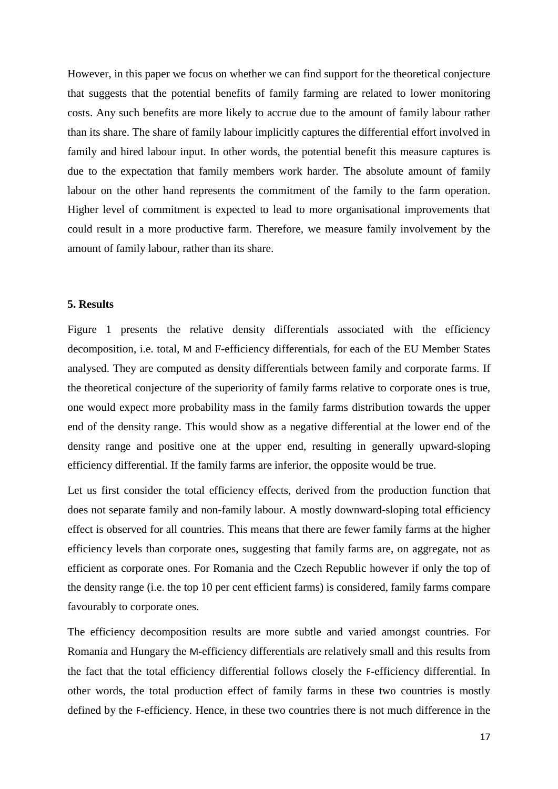However, in this paper we focus on whether we can find support for the theoretical conjecture that suggests that the potential benefits of family farming are related to lower monitoring costs. Any such benefits are more likely to accrue due to the amount of family labour rather than its share. The share of family labour implicitly captures the differential effort involved in family and hired labour input. In other words, the potential benefit this measure captures is due to the expectation that family members work harder. The absolute amount of family labour on the other hand represents the commitment of the family to the farm operation. Higher level of commitment is expected to lead to more organisational improvements that could result in a more productive farm. Therefore, we measure family involvement by the amount of family labour, rather than its share.

#### **5. Results**

Figure 1 presents the relative density differentials associated with the efficiency decomposition, i.e. total, M and F-efficiency differentials, for each of the EU Member States analysed. They are computed as density differentials between family and corporate farms. If the theoretical conjecture of the superiority of family farms relative to corporate ones is true, one would expect more probability mass in the family farms distribution towards the upper end of the density range. This would show as a negative differential at the lower end of the density range and positive one at the upper end, resulting in generally upward-sloping efficiency differential. If the family farms are inferior, the opposite would be true.

Let us first consider the total efficiency effects, derived from the production function that does not separate family and non-family labour. A mostly downward-sloping total efficiency effect is observed for all countries. This means that there are fewer family farms at the higher efficiency levels than corporate ones, suggesting that family farms are, on aggregate, not as efficient as corporate ones. For Romania and the Czech Republic however if only the top of the density range (i.e. the top 10 per cent efficient farms) is considered, family farms compare favourably to corporate ones.

The efficiency decomposition results are more subtle and varied amongst countries. For Romania and Hungary the M-efficiency differentials are relatively small and this results from the fact that the total efficiency differential follows closely the F-efficiency differential. In other words, the total production effect of family farms in these two countries is mostly defined by the F-efficiency. Hence, in these two countries there is not much difference in the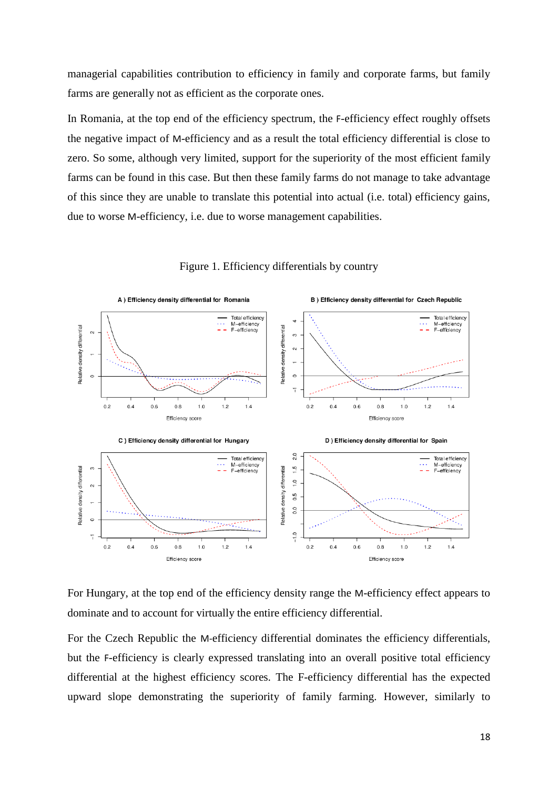managerial capabilities contribution to efficiency in family and corporate farms, but family farms are generally not as efficient as the corporate ones.

In Romania, at the top end of the efficiency spectrum, the F-efficiency effect roughly offsets the negative impact of M-efficiency and as a result the total efficiency differential is close to zero. So some, although very limited, support for the superiority of the most efficient family farms can be found in this case. But then these family farms do not manage to take advantage of this since they are unable to translate this potential into actual (i.e. total) efficiency gains, due to worse M-efficiency, i.e. due to worse management capabilities.



Figure 1. Efficiency differentials by country

For Hungary, at the top end of the efficiency density range the M-efficiency effect appears to dominate and to account for virtually the entire efficiency differential.

For the Czech Republic the M-efficiency differential dominates the efficiency differentials, but the F-efficiency is clearly expressed translating into an overall positive total efficiency differential at the highest efficiency scores. The F-efficiency differential has the expected upward slope demonstrating the superiority of family farming. However, similarly to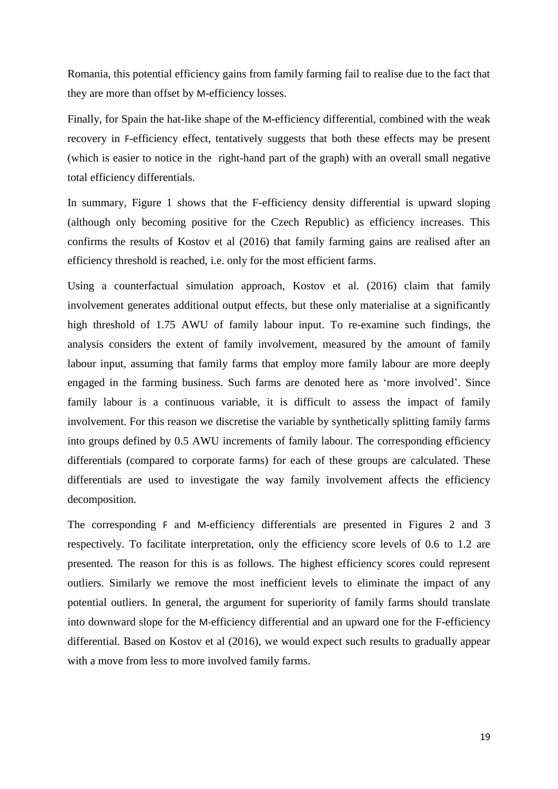Romania, this potential efficiency gains from family farming fail to realise due to the fact that they are more than offset by M-efficiency losses.

Finally, for Spain the hat-like shape of the M-efficiency differential, combined with the weak recovery in F-efficiency effect, tentatively suggests that both these effects may be present (which is easier to notice in the right-hand part of the graph) with an overall small negative total efficiency differentials.

In summary, Figure 1 shows that the F-efficiency density differential is upward sloping (although only becoming positive for the Czech Republic) as efficiency increases. This confirms the results of Kostov et al (2016) that family farming gains are realised after an efficiency threshold is reached, i.e. only for the most efficient farms.

Using a counterfactual simulation approach, Kostov et al. (2016) claim that family involvement generates additional output effects, but these only materialise at a significantly high threshold of 1.75 AWU of family labour input. To re-examine such findings, the analysis considers the extent of family involvement, measured by the amount of family labour input, assuming that family farms that employ more family labour are more deeply engaged in the farming business. Such farms are denoted here as 'more involved'. Since family labour is a continuous variable, it is difficult to assess the impact of family involvement. For this reason we discretise the variable by synthetically splitting family farms into groups defined by 0.5 AWU increments of family labour. The corresponding efficiency differentials (compared to corporate farms) for each of these groups are calculated. These differentials are used to investigate the way family involvement affects the efficiency decomposition.

The corresponding F and M-efficiency differentials are presented in Figures 2 and 3 respectively. To facilitate interpretation, only the efficiency score levels of 0.6 to 1.2 are presented. The reason for this is as follows. The highest efficiency scores could represent outliers. Similarly we remove the most inefficient levels to eliminate the impact of any potential outliers. In general, the argument for superiority of family farms should translate into downward slope for the M-efficiency differential and an upward one for the F-efficiency differential. Based on Kostov et al (2016), we would expect such results to gradually appear with a move from less to more involved family farms.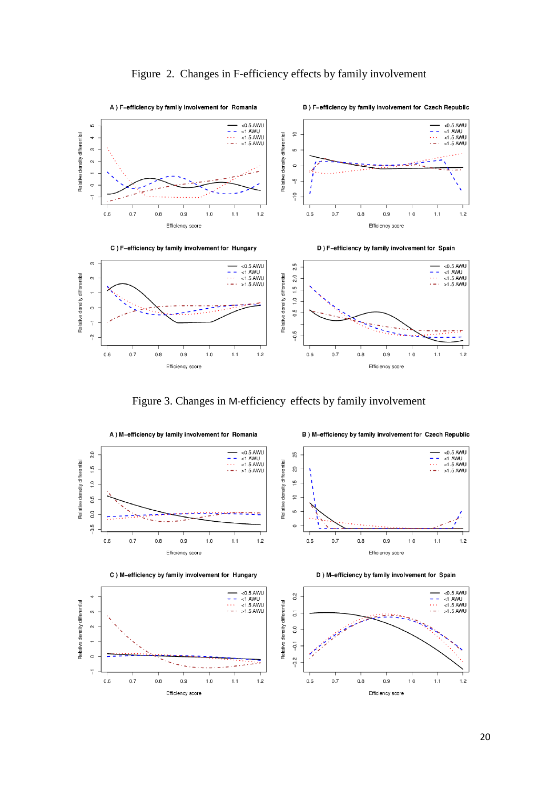

Figure 3. Changes in M-efficiency effects by family involvement



z ÷

 $1.2$ 

 $1.1$ 

 $\circ$ 

 $\overline{1}$  $0.6\,$ 

 $0.7$ 

 $0.8$ 

 $0.9$ 

Efficiency score

 $1.0\,$ 

 $-0.1$  $-0.2$  $0.6$  $0.7$  $0.8$  $0.9$  $1.0$  $1.1$  $1.2$ Efficiency score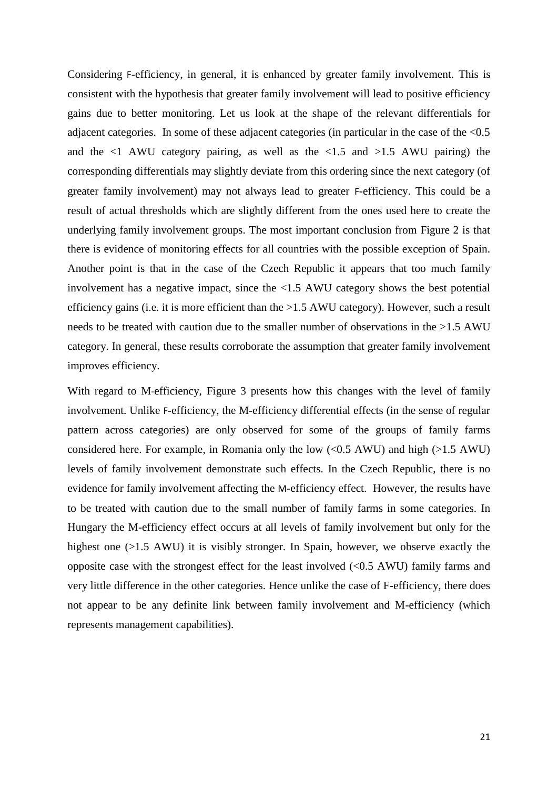Considering F-efficiency, in general, it is enhanced by greater family involvement. This is consistent with the hypothesis that greater family involvement will lead to positive efficiency gains due to better monitoring. Let us look at the shape of the relevant differentials for adjacent categories. In some of these adjacent categories (in particular in the case of the <0.5 and the  $\leq$ 1 AWU category pairing, as well as the  $\leq$ 1.5 and  $\geq$ 1.5 AWU pairing) the corresponding differentials may slightly deviate from this ordering since the next category (of greater family involvement) may not always lead to greater F-efficiency. This could be a result of actual thresholds which are slightly different from the ones used here to create the underlying family involvement groups. The most important conclusion from Figure 2 is that there is evidence of monitoring effects for all countries with the possible exception of Spain. Another point is that in the case of the Czech Republic it appears that too much family involvement has a negative impact, since the <1.5 AWU category shows the best potential efficiency gains (i.e. it is more efficient than the >1.5 AWU category). However, such a result needs to be treated with caution due to the smaller number of observations in the >1.5 AWU category. In general, these results corroborate the assumption that greater family involvement improves efficiency.

With regard to M-efficiency, Figure 3 presents how this changes with the level of family involvement. Unlike F-efficiency, the M-efficiency differential effects (in the sense of regular pattern across categories) are only observed for some of the groups of family farms considered here. For example, in Romania only the low  $( $0.5 \text{ AWU}$ )$  and high  $(>1.5 \text{ AWU})$ levels of family involvement demonstrate such effects. In the Czech Republic, there is no evidence for family involvement affecting the M-efficiency effect. However, the results have to be treated with caution due to the small number of family farms in some categories. In Hungary the M-efficiency effect occurs at all levels of family involvement but only for the highest one (>1.5 AWU) it is visibly stronger. In Spain, however, we observe exactly the opposite case with the strongest effect for the least involved (<0.5 AWU) family farms and very little difference in the other categories. Hence unlike the case of F-efficiency, there does not appear to be any definite link between family involvement and M-efficiency (which represents management capabilities).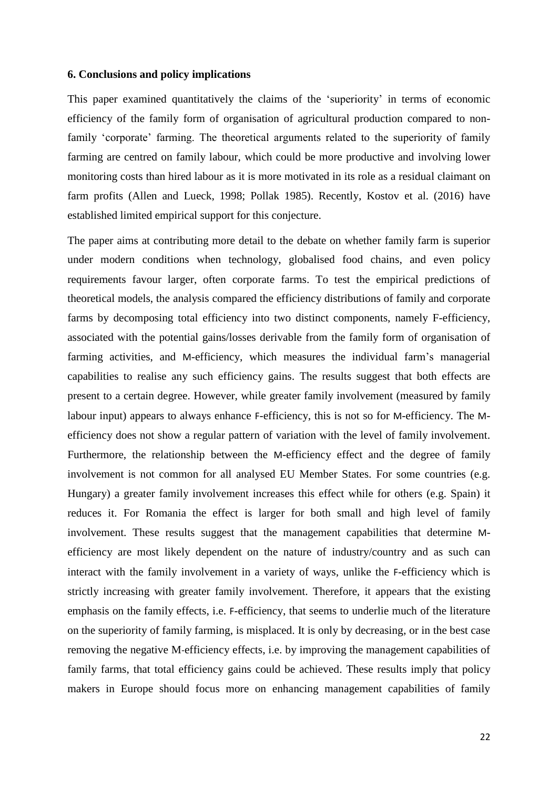#### **6. Conclusions and policy implications**

This paper examined quantitatively the claims of the 'superiority' in terms of economic efficiency of the family form of organisation of agricultural production compared to nonfamily 'corporate' farming. The theoretical arguments related to the superiority of family farming are centred on family labour, which could be more productive and involving lower monitoring costs than hired labour as it is more motivated in its role as a residual claimant on farm profits (Allen and Lueck, 1998; Pollak 1985). Recently, Kostov et al. (2016) have established limited empirical support for this conjecture.

The paper aims at contributing more detail to the debate on whether family farm is superior under modern conditions when technology, globalised food chains, and even policy requirements favour larger, often corporate farms. To test the empirical predictions of theoretical models, the analysis compared the efficiency distributions of family and corporate farms by decomposing total efficiency into two distinct components, namely F-efficiency, associated with the potential gains/losses derivable from the family form of organisation of farming activities, and M-efficiency, which measures the individual farm's managerial capabilities to realise any such efficiency gains. The results suggest that both effects are present to a certain degree. However, while greater family involvement (measured by family labour input) appears to always enhance F-efficiency, this is not so for M-efficiency. The Mefficiency does not show a regular pattern of variation with the level of family involvement. Furthermore, the relationship between the M-efficiency effect and the degree of family involvement is not common for all analysed EU Member States. For some countries (e.g. Hungary) a greater family involvement increases this effect while for others (e.g. Spain) it reduces it. For Romania the effect is larger for both small and high level of family involvement. These results suggest that the management capabilities that determine Mefficiency are most likely dependent on the nature of industry/country and as such can interact with the family involvement in a variety of ways, unlike the F-efficiency which is strictly increasing with greater family involvement. Therefore, it appears that the existing emphasis on the family effects, i.e. F-efficiency, that seems to underlie much of the literature on the superiority of family farming, is misplaced. It is only by decreasing, or in the best case removing the negative M-efficiency effects, i.e. by improving the management capabilities of family farms, that total efficiency gains could be achieved. These results imply that policy makers in Europe should focus more on enhancing management capabilities of family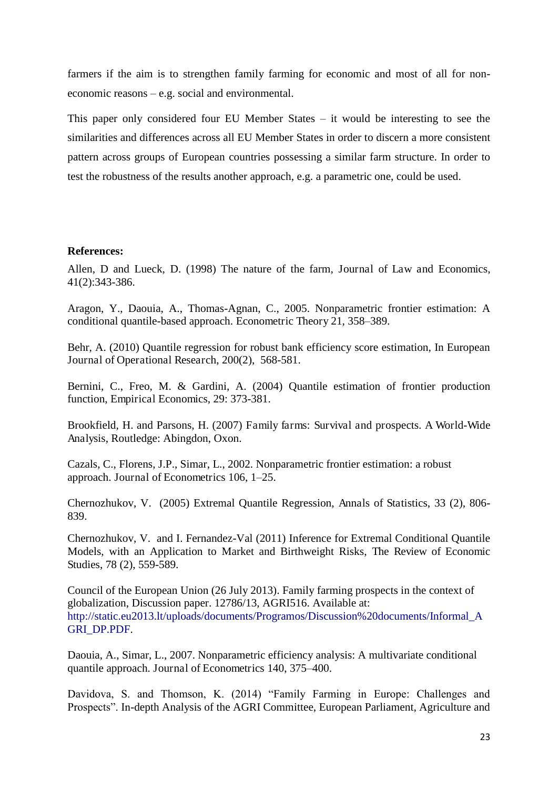farmers if the aim is to strengthen family farming for economic and most of all for noneconomic reasons – e.g. social and environmental.

This paper only considered four EU Member States – it would be interesting to see the similarities and differences across all EU Member States in order to discern a more consistent pattern across groups of European countries possessing a similar farm structure. In order to test the robustness of the results another approach, e.g. a parametric one, could be used.

#### **References:**

Allen, D and Lueck, D. (1998) The nature of the farm, Journal of Law and Economics, 41(2):343-386.

Aragon, Y., Daouia, A., Thomas-Agnan, C., 2005. Nonparametric frontier estimation: A conditional quantile-based approach. Econometric Theory 21, 358–389.

Behr, A. (2010) Quantile regression for robust bank efficiency score estimation, In European Journal of Operational Research, 200(2), 568-581.

Bernini, C., Freo, M. & Gardini, A. (2004) Quantile estimation of frontier production function, Empirical Economics, 29: 373-381.

Brookfield, H. and Parsons, H. (2007) Family farms: Survival and prospects. A World-Wide Analysis, Routledge: Abingdon, Oxon.

Cazals, C., Florens, J.P., Simar, L., 2002. Nonparametric frontier estimation: a robust approach. Journal of Econometrics 106, 1–25.

Chernozhukov, V. (2005) Extremal Quantile Regression, Annals of Statistics, 33 (2), 806- 839.

Chernozhukov, V. and I. Fernandez-Val (2011) Inference for Extremal Conditional Quantile Models, with an Application to Market and Birthweight Risks, The Review of Economic Studies, 78 (2), 559-589.

Council of the European Union (26 July 2013). Family farming prospects in the context of globalization, Discussion paper. 12786/13, AGRI516. Available at: http://static.eu2013.lt/uploads/documents/Programos/Discussion%20documents/Informal\_A GRI\_DP.PDF.

Daouia, A., Simar, L., 2007. Nonparametric efficiency analysis: A multivariate conditional quantile approach. Journal of Econometrics 140, 375–400.

Davidova, S. and Thomson, K. (2014) "Family Farming in Europe: Challenges and Prospects". In-depth Analysis of the AGRI Committee, European Parliament, Agriculture and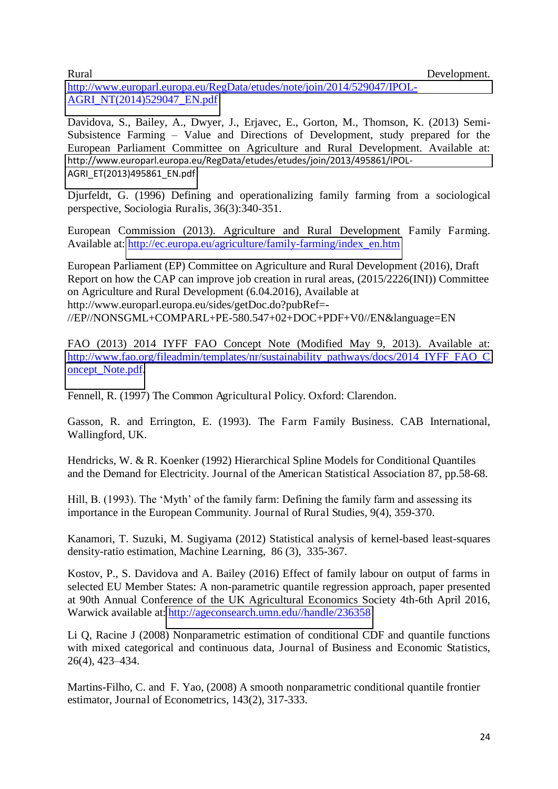Rural Development.

[http://www.europarl.europa.eu/RegData/etudes/note/join/2014/529047/IPOL-](http://www.europarl.europa.eu/RegData/etudes/note/join/2014/529047/IPOL-AGRI_NT(2014)529047_EN.pdf)[AGRI\\_NT\(2014\)529047\\_EN.pdf](http://www.europarl.europa.eu/RegData/etudes/note/join/2014/529047/IPOL-AGRI_NT(2014)529047_EN.pdf)

Davidova, S., Bailey, A., Dwyer, J., Erjavec, E., Gorton, M., Thomson, K. (2013) Semi-Subsistence Farming – Value and Directions of Development, study prepared for the European Parliament Committee on Agriculture and Rural Development. Available at: [http://www.europarl.europa.eu/RegData/etudes/etudes/join/2013/495861/IPOL-](http://www.europarl.europa.eu/RegData/etudes/etudes/join/2013/495861/IPOL-AGRI_ET(2013)495861_EN.pdf)[AGRI\\_ET\(2013\)495861\\_EN.pdf](http://www.europarl.europa.eu/RegData/etudes/etudes/join/2013/495861/IPOL-AGRI_ET(2013)495861_EN.pdf)

Djurfeldt, G. (1996) Defining and operationalizing family farming from a sociological perspective, Sociologia Ruralis, 36(3):340-351.

European Commission (2013). Agriculture and Rural Development Family Farming. Available at: [http://ec.europa.eu/agriculture/family-farming/index\\_en.htm](http://ec.europa.eu/agriculture/family-farming/index_en.htm)

European Parliament (EP) Committee on Agriculture and Rural Development (2016), Draft Report on how the CAP can improve job creation in rural areas, (2015/2226(INI)) Committee on Agriculture and Rural Development (6.04.2016), Available at http://www.europarl.europa.eu/sides/getDoc.do?pubRef=- //EP//NONSGML+COMPARL+PE-580.547+02+DOC+PDF+V0//EN&language=EN

FAO (2013) 2014 IYFF FAO Concept Note (Modified May 9, 2013). Available at: [http://www.fao.org/fileadmin/templates/nr/sustainability\\_pathways/docs/2014\\_IYFF\\_FAO\\_C](http://www.fao.org/fileadmin/templates/nr/sustainability_pathways/docs/2014_IYFF_FAO_Concept_Note.pdf) [oncept\\_Note.pdf.](http://www.fao.org/fileadmin/templates/nr/sustainability_pathways/docs/2014_IYFF_FAO_Concept_Note.pdf)

Fennell, R. (1997) The Common Agricultural Policy. Oxford: Clarendon.

Gasson, R. and Errington, E. (1993). The Farm Family Business. CAB International, Wallingford, UK.

Hendricks, W. & R. Koenker (1992) Hierarchical Spline Models for Conditional Quantiles and the Demand for Electricity. Journal of the American Statistical Association 87, pp.58-68.

Hill, B. (1993). The 'Myth' of the family farm: Defining the family farm and assessing its importance in the European Community. Journal of Rural Studies, 9(4), 359-370.

Kanamori, T. Suzuki, M. Sugiyama (2012) Statistical analysis of kernel-based least-squares density-ratio estimation, Machine Learning, 86 (3), 335-367.

Kostov, P., S. Davidova and A. Bailey (2016) Effect of family labour on output of farms in selected EU Member States: A non-parametric quantile regression approach, paper presented at 90th Annual Conference of the UK Agricultural Economics Society 4th-6th April 2016, Warwick available at: [http://ageconsearch.umn.edu//handle/236358](http://ageconsearch.umn.edu/handle/236358)

Li Q, Racine J (2008) Nonparametric estimation of conditional CDF and quantile functions with mixed categorical and continuous data, Journal of Business and Economic Statistics, 26(4), 423–434.

Martins-Filho, C. and F. Yao, (2008) A smooth nonparametric conditional quantile frontier estimator, Journal of Econometrics, 143(2), 317-333.